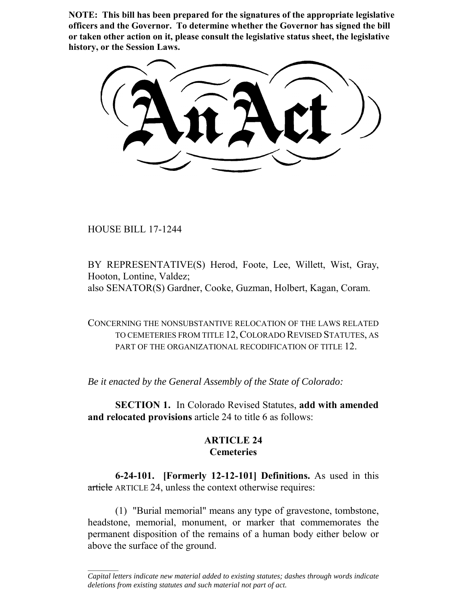**NOTE: This bill has been prepared for the signatures of the appropriate legislative officers and the Governor. To determine whether the Governor has signed the bill or taken other action on it, please consult the legislative status sheet, the legislative history, or the Session Laws.**

HOUSE BILL 17-1244

 $\frac{1}{2}$ 

BY REPRESENTATIVE(S) Herod, Foote, Lee, Willett, Wist, Gray, Hooton, Lontine, Valdez; also SENATOR(S) Gardner, Cooke, Guzman, Holbert, Kagan, Coram.

CONCERNING THE NONSUBSTANTIVE RELOCATION OF THE LAWS RELATED TO CEMETERIES FROM TITLE 12, COLORADO REVISED STATUTES, AS PART OF THE ORGANIZATIONAL RECODIFICATION OF TITLE 12.

*Be it enacted by the General Assembly of the State of Colorado:*

**SECTION 1.** In Colorado Revised Statutes, **add with amended and relocated provisions** article 24 to title 6 as follows:

# **ARTICLE 24 Cemeteries**

**6-24-101. [Formerly 12-12-101] Definitions.** As used in this article ARTICLE 24, unless the context otherwise requires:

(1) "Burial memorial" means any type of gravestone, tombstone, headstone, memorial, monument, or marker that commemorates the permanent disposition of the remains of a human body either below or above the surface of the ground.

*Capital letters indicate new material added to existing statutes; dashes through words indicate deletions from existing statutes and such material not part of act.*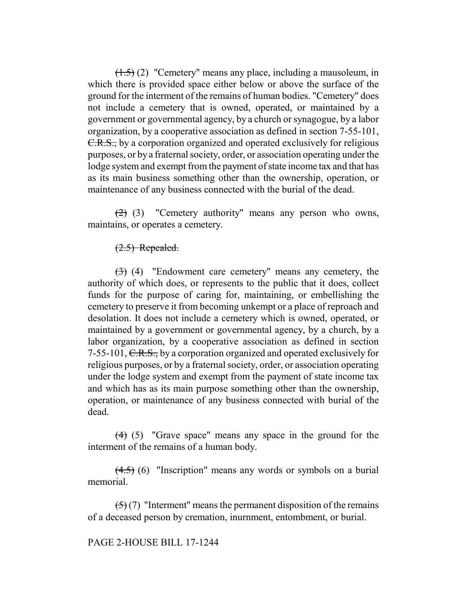(1.5) (2) "Cemetery" means any place, including a mausoleum, in which there is provided space either below or above the surface of the ground for the interment of the remains of human bodies. "Cemetery" does not include a cemetery that is owned, operated, or maintained by a government or governmental agency, by a church or synagogue, by a labor organization, by a cooperative association as defined in section 7-55-101, C.R.S., by a corporation organized and operated exclusively for religious purposes, or by a fraternal society, order, or association operating under the lodge system and exempt from the payment of state income tax and that has as its main business something other than the ownership, operation, or maintenance of any business connected with the burial of the dead.

 $(2)$  (3) "Cemetery authority" means any person who owns, maintains, or operates a cemetery.

# $(2.5)$  Repealed.

(3) (4) "Endowment care cemetery" means any cemetery, the authority of which does, or represents to the public that it does, collect funds for the purpose of caring for, maintaining, or embellishing the cemetery to preserve it from becoming unkempt or a place of reproach and desolation. It does not include a cemetery which is owned, operated, or maintained by a government or governmental agency, by a church, by a labor organization, by a cooperative association as defined in section 7-55-101,  $C.R.S.,$  by a corporation organized and operated exclusively for religious purposes, or by a fraternal society, order, or association operating under the lodge system and exempt from the payment of state income tax and which has as its main purpose something other than the ownership, operation, or maintenance of any business connected with burial of the dead.

(4) (5) "Grave space" means any space in the ground for the interment of the remains of a human body.

 $(4.5)$  (6) "Inscription" means any words or symbols on a burial memorial.

 $(5)(7)$  "Interment" means the permanent disposition of the remains of a deceased person by cremation, inurnment, entombment, or burial.

#### PAGE 2-HOUSE BILL 17-1244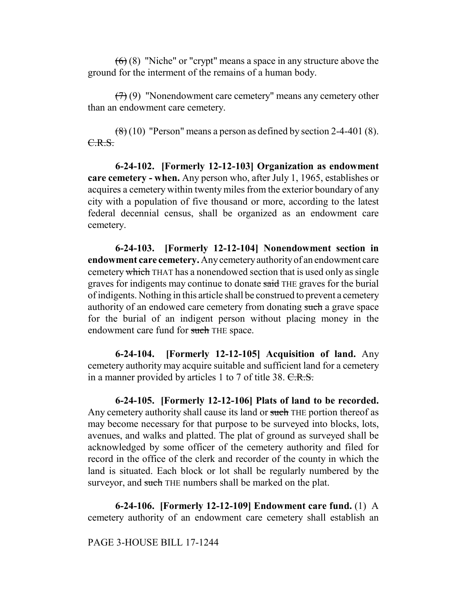$(6)$  (8) "Niche" or "crypt" means a space in any structure above the ground for the interment of the remains of a human body.

 $(7)$  (9) "Nonendowment care cemetery" means any cemetery other than an endowment care cemetery.

 $\left(\frac{8}{6}\right)$  (10) "Person" means a person as defined by section 2-4-401 (8). C.R.S.

**6-24-102. [Formerly 12-12-103] Organization as endowment care cemetery - when.** Any person who, after July 1, 1965, establishes or acquires a cemetery within twenty miles from the exterior boundary of any city with a population of five thousand or more, according to the latest federal decennial census, shall be organized as an endowment care cemetery.

**6-24-103. [Formerly 12-12-104] Nonendowment section in endowment care cemetery.** Any cemetery authority of an endowment care cemetery which THAT has a nonendowed section that is used only as single graves for indigents may continue to donate said THE graves for the burial of indigents. Nothing in this article shall be construed to prevent a cemetery authority of an endowed care cemetery from donating such a grave space for the burial of an indigent person without placing money in the endowment care fund for such THE space.

**6-24-104. [Formerly 12-12-105] Acquisition of land.** Any cemetery authority may acquire suitable and sufficient land for a cemetery in a manner provided by articles 1 to 7 of title 38. C.R.S.

**6-24-105. [Formerly 12-12-106] Plats of land to be recorded.** Any cemetery authority shall cause its land or such THE portion thereof as may become necessary for that purpose to be surveyed into blocks, lots, avenues, and walks and platted. The plat of ground as surveyed shall be acknowledged by some officer of the cemetery authority and filed for record in the office of the clerk and recorder of the county in which the land is situated. Each block or lot shall be regularly numbered by the surveyor, and such THE numbers shall be marked on the plat.

**6-24-106. [Formerly 12-12-109] Endowment care fund.** (1) A cemetery authority of an endowment care cemetery shall establish an

#### PAGE 3-HOUSE BILL 17-1244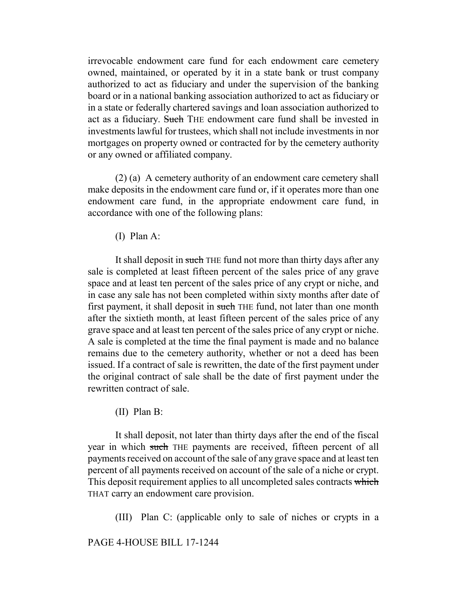irrevocable endowment care fund for each endowment care cemetery owned, maintained, or operated by it in a state bank or trust company authorized to act as fiduciary and under the supervision of the banking board or in a national banking association authorized to act as fiduciary or in a state or federally chartered savings and loan association authorized to act as a fiduciary. Such THE endowment care fund shall be invested in investments lawful for trustees, which shall not include investments in nor mortgages on property owned or contracted for by the cemetery authority or any owned or affiliated company.

(2) (a) A cemetery authority of an endowment care cemetery shall make deposits in the endowment care fund or, if it operates more than one endowment care fund, in the appropriate endowment care fund, in accordance with one of the following plans:

(I) Plan A:

It shall deposit in such THE fund not more than thirty days after any sale is completed at least fifteen percent of the sales price of any grave space and at least ten percent of the sales price of any crypt or niche, and in case any sale has not been completed within sixty months after date of first payment, it shall deposit in such THE fund, not later than one month after the sixtieth month, at least fifteen percent of the sales price of any grave space and at least ten percent of the sales price of any crypt or niche. A sale is completed at the time the final payment is made and no balance remains due to the cemetery authority, whether or not a deed has been issued. If a contract of sale is rewritten, the date of the first payment under the original contract of sale shall be the date of first payment under the rewritten contract of sale.

(II) Plan B:

It shall deposit, not later than thirty days after the end of the fiscal year in which such THE payments are received, fifteen percent of all payments received on account of the sale of any grave space and at least ten percent of all payments received on account of the sale of a niche or crypt. This deposit requirement applies to all uncompleted sales contracts which THAT carry an endowment care provision.

(III) Plan C: (applicable only to sale of niches or crypts in a

## PAGE 4-HOUSE BILL 17-1244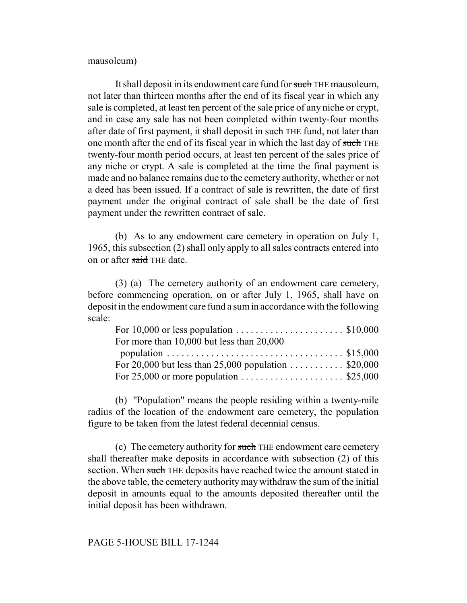mausoleum)

It shall deposit in its endowment care fund for such THE mausoleum, not later than thirteen months after the end of its fiscal year in which any sale is completed, at least ten percent of the sale price of any niche or crypt, and in case any sale has not been completed within twenty-four months after date of first payment, it shall deposit in such THE fund, not later than one month after the end of its fiscal year in which the last day of such THE twenty-four month period occurs, at least ten percent of the sales price of any niche or crypt. A sale is completed at the time the final payment is made and no balance remains due to the cemetery authority, whether or not a deed has been issued. If a contract of sale is rewritten, the date of first payment under the original contract of sale shall be the date of first payment under the rewritten contract of sale.

(b) As to any endowment care cemetery in operation on July 1, 1965, this subsection (2) shall only apply to all sales contracts entered into on or after said THE date.

(3) (a) The cemetery authority of an endowment care cemetery, before commencing operation, on or after July 1, 1965, shall have on deposit in the endowment care fund a sum in accordance with the following scale:

| For 10,000 or less population $\ldots \ldots \ldots \ldots \ldots \ldots$ \$10,000 |  |
|------------------------------------------------------------------------------------|--|
| For more than 10,000 but less than 20,000                                          |  |
|                                                                                    |  |
|                                                                                    |  |
|                                                                                    |  |

(b) "Population" means the people residing within a twenty-mile radius of the location of the endowment care cemetery, the population figure to be taken from the latest federal decennial census.

(c) The cemetery authority for such THE endowment care cemetery shall thereafter make deposits in accordance with subsection (2) of this section. When such THE deposits have reached twice the amount stated in the above table, the cemetery authority may withdraw the sum of the initial deposit in amounts equal to the amounts deposited thereafter until the initial deposit has been withdrawn.

#### PAGE 5-HOUSE BILL 17-1244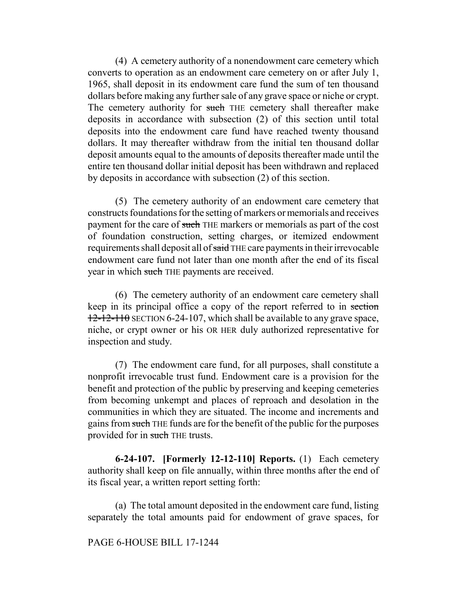(4) A cemetery authority of a nonendowment care cemetery which converts to operation as an endowment care cemetery on or after July 1, 1965, shall deposit in its endowment care fund the sum of ten thousand dollars before making any further sale of any grave space or niche or crypt. The cemetery authority for such THE cemetery shall thereafter make deposits in accordance with subsection (2) of this section until total deposits into the endowment care fund have reached twenty thousand dollars. It may thereafter withdraw from the initial ten thousand dollar deposit amounts equal to the amounts of deposits thereafter made until the entire ten thousand dollar initial deposit has been withdrawn and replaced by deposits in accordance with subsection (2) of this section.

(5) The cemetery authority of an endowment care cemetery that constructs foundations for the setting of markers or memorials and receives payment for the care of such THE markers or memorials as part of the cost of foundation construction, setting charges, or itemized endowment requirements shall deposit all of said THE care payments in their irrevocable endowment care fund not later than one month after the end of its fiscal year in which such THE payments are received.

(6) The cemetery authority of an endowment care cemetery shall keep in its principal office a copy of the report referred to in section  $12-12-110$  SECTION 6-24-107, which shall be available to any grave space, niche, or crypt owner or his OR HER duly authorized representative for inspection and study.

(7) The endowment care fund, for all purposes, shall constitute a nonprofit irrevocable trust fund. Endowment care is a provision for the benefit and protection of the public by preserving and keeping cemeteries from becoming unkempt and places of reproach and desolation in the communities in which they are situated. The income and increments and gains from such THE funds are for the benefit of the public for the purposes provided for in such THE trusts.

**6-24-107. [Formerly 12-12-110] Reports.** (1) Each cemetery authority shall keep on file annually, within three months after the end of its fiscal year, a written report setting forth:

(a) The total amount deposited in the endowment care fund, listing separately the total amounts paid for endowment of grave spaces, for

## PAGE 6-HOUSE BILL 17-1244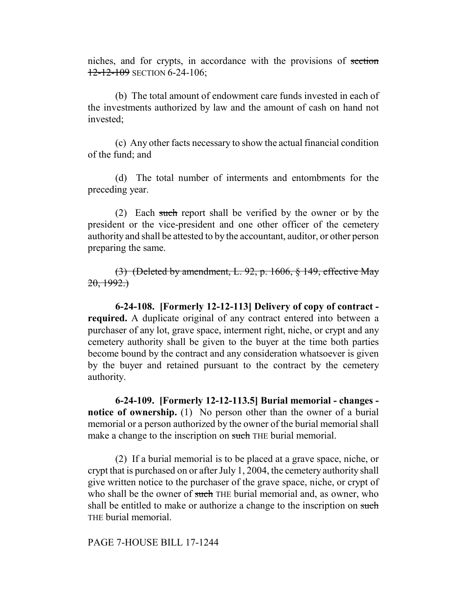niches, and for crypts, in accordance with the provisions of section 12-12-109 SECTION 6-24-106;

(b) The total amount of endowment care funds invested in each of the investments authorized by law and the amount of cash on hand not invested;

(c) Any other facts necessary to show the actual financial condition of the fund; and

(d) The total number of interments and entombments for the preceding year.

(2) Each such report shall be verified by the owner or by the president or the vice-president and one other officer of the cemetery authority and shall be attested to by the accountant, auditor, or other person preparing the same.

(3) (Deleted by amendment, L. 92, p. 1606, § 149, effective May  $20, 1992.$ 

**6-24-108. [Formerly 12-12-113] Delivery of copy of contract required.** A duplicate original of any contract entered into between a purchaser of any lot, grave space, interment right, niche, or crypt and any cemetery authority shall be given to the buyer at the time both parties become bound by the contract and any consideration whatsoever is given by the buyer and retained pursuant to the contract by the cemetery authority.

**6-24-109. [Formerly 12-12-113.5] Burial memorial - changes notice of ownership.** (1) No person other than the owner of a burial memorial or a person authorized by the owner of the burial memorial shall make a change to the inscription on such THE burial memorial.

(2) If a burial memorial is to be placed at a grave space, niche, or crypt that is purchased on or after July 1, 2004, the cemetery authority shall give written notice to the purchaser of the grave space, niche, or crypt of who shall be the owner of such THE burial memorial and, as owner, who shall be entitled to make or authorize a change to the inscription on such THE burial memorial.

# PAGE 7-HOUSE BILL 17-1244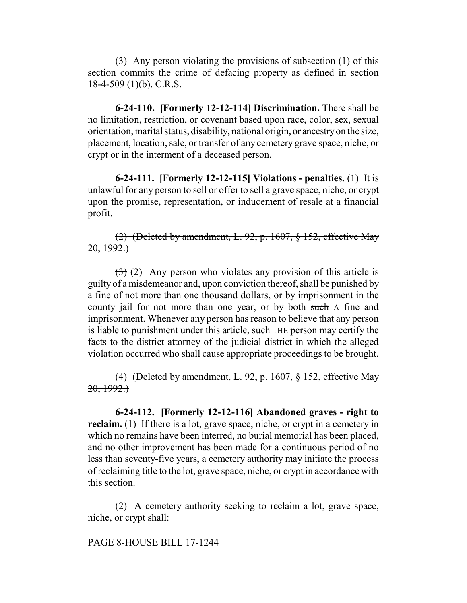(3) Any person violating the provisions of subsection (1) of this section commits the crime of defacing property as defined in section 18-4-509 (1)(b).  $C.R.S.$ 

**6-24-110. [Formerly 12-12-114] Discrimination.** There shall be no limitation, restriction, or covenant based upon race, color, sex, sexual orientation, marital status, disability, national origin, or ancestry on the size, placement, location, sale, or transfer of any cemetery grave space, niche, or crypt or in the interment of a deceased person.

**6-24-111. [Formerly 12-12-115] Violations - penalties.** (1) It is unlawful for any person to sell or offer to sell a grave space, niche, or crypt upon the promise, representation, or inducement of resale at a financial profit.

(2) (Deleted by amendment, L. 92, p. 1607, § 152, effective May  $20, 1992.$ 

 $(3)$  (2) Any person who violates any provision of this article is guilty of a misdemeanor and, upon conviction thereof, shall be punished by a fine of not more than one thousand dollars, or by imprisonment in the county jail for not more than one year, or by both such A fine and imprisonment. Whenever any person has reason to believe that any person is liable to punishment under this article, such THE person may certify the facts to the district attorney of the judicial district in which the alleged violation occurred who shall cause appropriate proceedings to be brought.

(4) (Deleted by amendment, L. 92, p. 1607, § 152, effective May  $20, 1992.$ 

**6-24-112. [Formerly 12-12-116] Abandoned graves - right to reclaim.** (1) If there is a lot, grave space, niche, or crypt in a cemetery in which no remains have been interred, no burial memorial has been placed, and no other improvement has been made for a continuous period of no less than seventy-five years, a cemetery authority may initiate the process of reclaiming title to the lot, grave space, niche, or crypt in accordance with this section.

(2) A cemetery authority seeking to reclaim a lot, grave space, niche, or crypt shall:

PAGE 8-HOUSE BILL 17-1244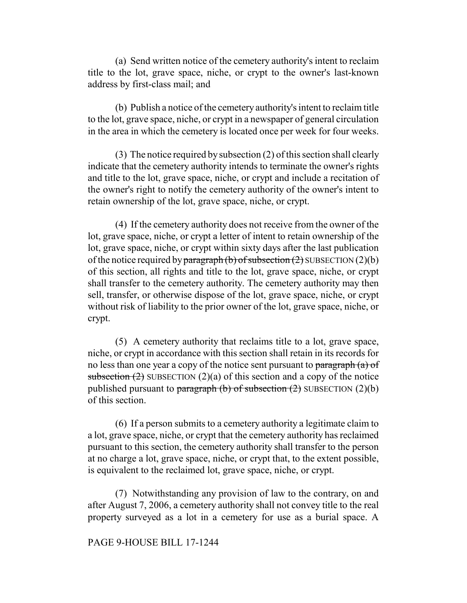(a) Send written notice of the cemetery authority's intent to reclaim title to the lot, grave space, niche, or crypt to the owner's last-known address by first-class mail; and

(b) Publish a notice of the cemetery authority's intent to reclaim title to the lot, grave space, niche, or crypt in a newspaper of general circulation in the area in which the cemetery is located once per week for four weeks.

(3) The notice required by subsection (2) of this section shall clearly indicate that the cemetery authority intends to terminate the owner's rights and title to the lot, grave space, niche, or crypt and include a recitation of the owner's right to notify the cemetery authority of the owner's intent to retain ownership of the lot, grave space, niche, or crypt.

(4) If the cemetery authority does not receive from the owner of the lot, grave space, niche, or crypt a letter of intent to retain ownership of the lot, grave space, niche, or crypt within sixty days after the last publication of the notice required by paragraph (b) of subsection (2) SUBSECTION (2)(b) of this section, all rights and title to the lot, grave space, niche, or crypt shall transfer to the cemetery authority. The cemetery authority may then sell, transfer, or otherwise dispose of the lot, grave space, niche, or crypt without risk of liability to the prior owner of the lot, grave space, niche, or crypt.

(5) A cemetery authority that reclaims title to a lot, grave space, niche, or crypt in accordance with this section shall retain in its records for no less than one year a copy of the notice sent pursuant to paragraph  $(a)$  of subsection  $(2)$  SUBSECTION  $(2)(a)$  of this section and a copy of the notice published pursuant to paragraph (b) of subsection  $(2)$  SUBSECTION  $(2)(b)$ of this section.

(6) If a person submits to a cemetery authority a legitimate claim to a lot, grave space, niche, or crypt that the cemetery authority has reclaimed pursuant to this section, the cemetery authority shall transfer to the person at no charge a lot, grave space, niche, or crypt that, to the extent possible, is equivalent to the reclaimed lot, grave space, niche, or crypt.

(7) Notwithstanding any provision of law to the contrary, on and after August 7, 2006, a cemetery authority shall not convey title to the real property surveyed as a lot in a cemetery for use as a burial space. A

## PAGE 9-HOUSE BILL 17-1244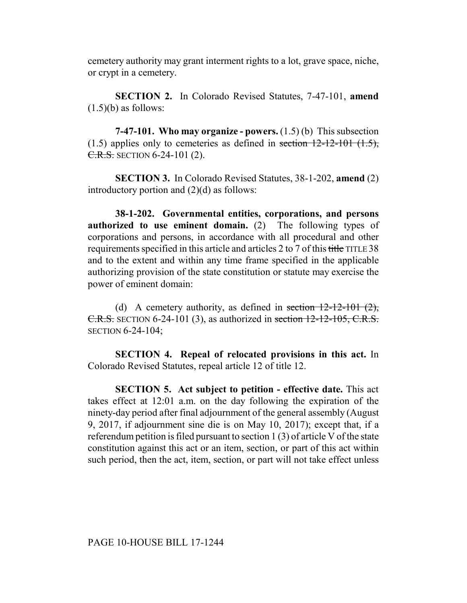cemetery authority may grant interment rights to a lot, grave space, niche, or crypt in a cemetery.

**SECTION 2.** In Colorado Revised Statutes, 7-47-101, **amend**  $(1.5)(b)$  as follows:

**7-47-101. Who may organize - powers.** (1.5) (b) This subsection  $(1.5)$  applies only to cemeteries as defined in section  $12-12-101$   $(1.5)$ , C.R.S. SECTION 6-24-101 (2).

**SECTION 3.** In Colorado Revised Statutes, 38-1-202, **amend** (2) introductory portion and  $(2)(d)$  as follows:

**38-1-202. Governmental entities, corporations, and persons authorized to use eminent domain.** (2) The following types of corporations and persons, in accordance with all procedural and other requirements specified in this article and articles 2 to 7 of this title TITLE 38 and to the extent and within any time frame specified in the applicable authorizing provision of the state constitution or statute may exercise the power of eminent domain:

(d) A cemetery authority, as defined in section  $12-12-101(2)$ , C.R.S. SECTION 6-24-101 (3), as authorized in section 12-12-105, C.R.S. SECTION 6-24-104;

**SECTION 4. Repeal of relocated provisions in this act.** In Colorado Revised Statutes, repeal article 12 of title 12.

**SECTION 5. Act subject to petition - effective date.** This act takes effect at 12:01 a.m. on the day following the expiration of the ninety-day period after final adjournment of the general assembly (August 9, 2017, if adjournment sine die is on May 10, 2017); except that, if a referendum petition is filed pursuant to section 1 (3) of article V of the state constitution against this act or an item, section, or part of this act within such period, then the act, item, section, or part will not take effect unless